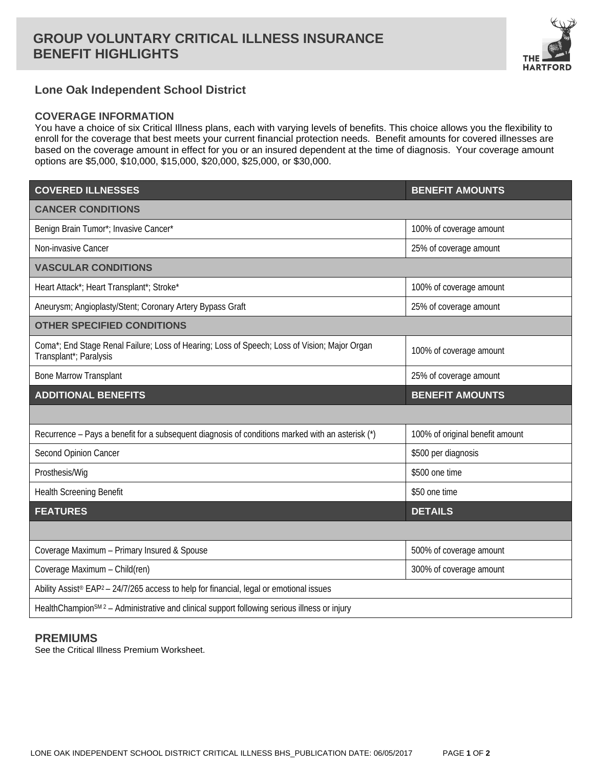# **GROUP VOLUNTARY CRITICAL ILLNESS INSURANCE BENEFIT HIGHLIGHTS**



# **Lone Oak Independent School District**

### **COVERAGE INFORMATION**

You have a choice of six Critical Illness plans, each with varying levels of benefits. This choice allows you the flexibility to enroll for the coverage that best meets your current financial protection needs. Benefit amounts for covered illnesses are based on the coverage amount in effect for you or an insured dependent at the time of diagnosis. Your coverage amount options are \$5,000, \$10,000, \$15,000, \$20,000, \$25,000, or \$30,000.

| <b>COVERED ILLNESSES</b>                                                                                               | <b>BENEFIT AMOUNTS</b>          |
|------------------------------------------------------------------------------------------------------------------------|---------------------------------|
| <b>CANCER CONDITIONS</b>                                                                                               |                                 |
| Benign Brain Tumor*; Invasive Cancer*                                                                                  | 100% of coverage amount         |
| Non-invasive Cancer                                                                                                    | 25% of coverage amount          |
| <b>VASCULAR CONDITIONS</b>                                                                                             |                                 |
| Heart Attack*; Heart Transplant*; Stroke*                                                                              | 100% of coverage amount         |
| Aneurysm; Angioplasty/Stent; Coronary Artery Bypass Graft                                                              | 25% of coverage amount          |
| <b>OTHER SPECIFIED CONDITIONS</b>                                                                                      |                                 |
| Coma*; End Stage Renal Failure; Loss of Hearing; Loss of Speech; Loss of Vision; Major Organ<br>Transplant*; Paralysis | 100% of coverage amount         |
| <b>Bone Marrow Transplant</b>                                                                                          | 25% of coverage amount          |
| <b>ADDITIONAL BENEFITS</b>                                                                                             | <b>BENEFIT AMOUNTS</b>          |
|                                                                                                                        |                                 |
| Recurrence - Pays a benefit for a subsequent diagnosis of conditions marked with an asterisk (*)                       | 100% of original benefit amount |
| Second Opinion Cancer                                                                                                  | \$500 per diagnosis             |
| Prosthesis/Wig                                                                                                         | \$500 one time                  |
| <b>Health Screening Benefit</b>                                                                                        | \$50 one time                   |
| <b>FEATURES</b>                                                                                                        | <b>DETAILS</b>                  |
|                                                                                                                        |                                 |
| Coverage Maximum - Primary Insured & Spouse                                                                            | 500% of coverage amount         |
| Coverage Maximum - Child(ren)                                                                                          | 300% of coverage amount         |
| Ability Assist <sup>®</sup> EAP <sup>2</sup> - 24/7/265 access to help for financial, legal or emotional issues        |                                 |
| HealthChampion <sup>SM 2</sup> - Administrative and clinical support following serious illness or injury               |                                 |

### **PREMIUMS**

See the Critical Illness Premium Worksheet.